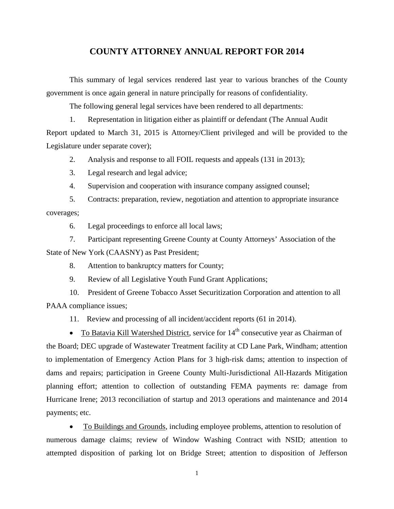## **COUNTY ATTORNEY ANNUAL REPORT FOR 2014**

This summary of legal services rendered last year to various branches of the County government is once again general in nature principally for reasons of confidentiality.

The following general legal services have been rendered to all departments:

1. Representation in litigation either as plaintiff or defendant (The Annual Audit Report updated to March 31, 2015 is Attorney/Client privileged and will be provided to the Legislature under separate cover);

2. Analysis and response to all FOIL requests and appeals (131 in 2013);

3. Legal research and legal advice;

4. Supervision and cooperation with insurance company assigned counsel;

5. Contracts: preparation, review, negotiation and attention to appropriate insurance coverages;

6. Legal proceedings to enforce all local laws;

7. Participant representing Greene County at County Attorneys' Association of the State of New York (CAASNY) as Past President;

8. Attention to bankruptcy matters for County;

9. Review of all Legislative Youth Fund Grant Applications;

10. President of Greene Tobacco Asset Securitization Corporation and attention to all PAAA compliance issues;

11. Review and processing of all incident/accident reports (61 in 2014).

• To Batavia Kill Watershed District, service for  $14<sup>th</sup>$  consecutive year as Chairman of the Board; DEC upgrade of Wastewater Treatment facility at CD Lane Park, Windham; attention to implementation of Emergency Action Plans for 3 high-risk dams; attention to inspection of dams and repairs; participation in Greene County Multi-Jurisdictional All-Hazards Mitigation planning effort; attention to collection of outstanding FEMA payments re: damage from Hurricane Irene; 2013 reconciliation of startup and 2013 operations and maintenance and 2014 payments; etc.

• To Buildings and Grounds, including employee problems, attention to resolution of numerous damage claims; review of Window Washing Contract with NSID; attention to attempted disposition of parking lot on Bridge Street; attention to disposition of Jefferson

1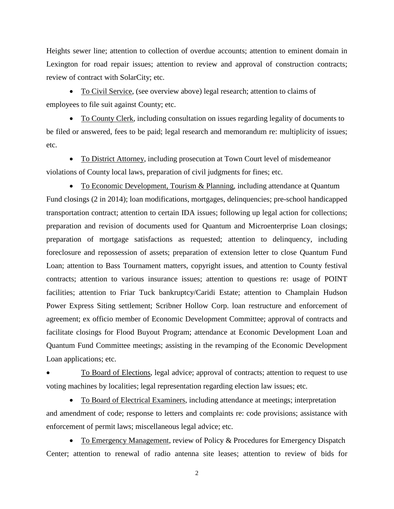Heights sewer line; attention to collection of overdue accounts; attention to eminent domain in Lexington for road repair issues; attention to review and approval of construction contracts; review of contract with SolarCity; etc.

• To Civil Service, (see overview above) legal research; attention to claims of employees to file suit against County; etc.

• To County Clerk, including consultation on issues regarding legality of documents to be filed or answered, fees to be paid; legal research and memorandum re: multiplicity of issues; etc.

• To District Attorney, including prosecution at Town Court level of misdemeanor violations of County local laws, preparation of civil judgments for fines; etc.

• To Economic Development, Tourism & Planning, including attendance at Quantum Fund closings (2 in 2014); loan modifications, mortgages, delinquencies; pre-school handicapped transportation contract; attention to certain IDA issues; following up legal action for collections; preparation and revision of documents used for Quantum and Microenterprise Loan closings; preparation of mortgage satisfactions as requested; attention to delinquency, including foreclosure and repossession of assets; preparation of extension letter to close Quantum Fund Loan; attention to Bass Tournament matters, copyright issues, and attention to County festival contracts; attention to various insurance issues; attention to questions re: usage of POINT facilities; attention to Friar Tuck bankruptcy/Caridi Estate; attention to Champlain Hudson Power Express Siting settlement; Scribner Hollow Corp. loan restructure and enforcement of agreement; ex officio member of Economic Development Committee; approval of contracts and facilitate closings for Flood Buyout Program; attendance at Economic Development Loan and Quantum Fund Committee meetings; assisting in the revamping of the Economic Development Loan applications; etc.

• To Board of Elections, legal advice; approval of contracts; attention to request to use voting machines by localities; legal representation regarding election law issues; etc.

• To Board of Electrical Examiners, including attendance at meetings; interpretation and amendment of code; response to letters and complaints re: code provisions; assistance with enforcement of permit laws; miscellaneous legal advice; etc.

• To Emergency Management, review of Policy & Procedures for Emergency Dispatch Center; attention to renewal of radio antenna site leases; attention to review of bids for

2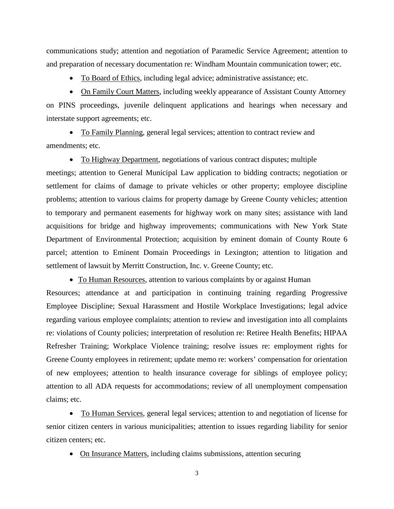communications study; attention and negotiation of Paramedic Service Agreement; attention to and preparation of necessary documentation re: Windham Mountain communication tower; etc.

• To Board of Ethics, including legal advice; administrative assistance; etc.

• On Family Court Matters, including weekly appearance of Assistant County Attorney on PINS proceedings, juvenile delinquent applications and hearings when necessary and interstate support agreements; etc.

• To Family Planning, general legal services; attention to contract review and amendments; etc.

• To Highway Department, negotiations of various contract disputes; multiple

meetings; attention to General Municipal Law application to bidding contracts; negotiation or settlement for claims of damage to private vehicles or other property; employee discipline problems; attention to various claims for property damage by Greene County vehicles; attention to temporary and permanent easements for highway work on many sites; assistance with land acquisitions for bridge and highway improvements; communications with New York State Department of Environmental Protection; acquisition by eminent domain of County Route 6 parcel; attention to Eminent Domain Proceedings in Lexington; attention to litigation and settlement of lawsuit by Merritt Construction, Inc. v. Greene County; etc.

• To Human Resources, attention to various complaints by or against Human

Resources; attendance at and participation in continuing training regarding Progressive Employee Discipline; Sexual Harassment and Hostile Workplace Investigations; legal advice regarding various employee complaints; attention to review and investigation into all complaints re: violations of County policies; interpretation of resolution re: Retiree Health Benefits; HIPAA Refresher Training; Workplace Violence training; resolve issues re: employment rights for Greene County employees in retirement; update memo re: workers' compensation for orientation of new employees; attention to health insurance coverage for siblings of employee policy; attention to all ADA requests for accommodations; review of all unemployment compensation claims; etc.

• To Human Services, general legal services; attention to and negotiation of license for senior citizen centers in various municipalities; attention to issues regarding liability for senior citizen centers; etc.

• On Insurance Matters, including claims submissions, attention securing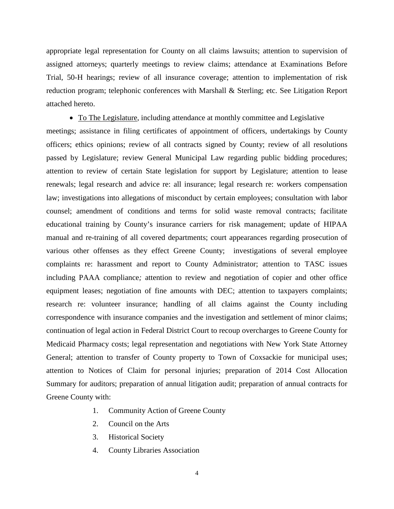appropriate legal representation for County on all claims lawsuits; attention to supervision of assigned attorneys; quarterly meetings to review claims; attendance at Examinations Before Trial, 50-H hearings; review of all insurance coverage; attention to implementation of risk reduction program; telephonic conferences with Marshall & Sterling; etc. See Litigation Report attached hereto.

## • To The Legislature, including attendance at monthly committee and Legislative

meetings; assistance in filing certificates of appointment of officers, undertakings by County officers; ethics opinions; review of all contracts signed by County; review of all resolutions passed by Legislature; review General Municipal Law regarding public bidding procedures; attention to review of certain State legislation for support by Legislature; attention to lease renewals; legal research and advice re: all insurance; legal research re: workers compensation law; investigations into allegations of misconduct by certain employees; consultation with labor counsel; amendment of conditions and terms for solid waste removal contracts; facilitate educational training by County's insurance carriers for risk management; update of HIPAA manual and re-training of all covered departments; court appearances regarding prosecution of various other offenses as they effect Greene County; investigations of several employee complaints re: harassment and report to County Administrator; attention to TASC issues including PAAA compliance*;* attention to review and negotiation of copier and other office equipment leases; negotiation of fine amounts with DEC; attention to taxpayers complaints; research re: volunteer insurance; handling of all claims against the County including correspondence with insurance companies and the investigation and settlement of minor claims; continuation of legal action in Federal District Court to recoup overcharges to Greene County for Medicaid Pharmacy costs; legal representation and negotiations with New York State Attorney General; attention to transfer of County property to Town of Coxsackie for municipal uses; attention to Notices of Claim for personal injuries; preparation of 2014 Cost Allocation Summary for auditors; preparation of annual litigation audit; preparation of annual contracts for Greene County with:

- 1. Community Action of Greene County
- 2. Council on the Arts
- 3. Historical Society
- 4. County Libraries Association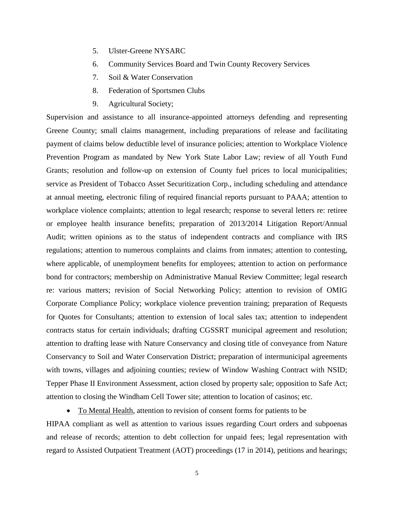- 5. Ulster-Greene NYSARC
- 6. Community Services Board and Twin County Recovery Services
- 7. Soil & Water Conservation
- 8. Federation of Sportsmen Clubs
- 9. Agricultural Society;

Supervision and assistance to all insurance-appointed attorneys defending and representing Greene County; small claims management, including preparations of release and facilitating payment of claims below deductible level of insurance policies; attention to Workplace Violence Prevention Program as mandated by New York State Labor Law; review of all Youth Fund Grants; resolution and follow-up on extension of County fuel prices to local municipalities; service as President of Tobacco Asset Securitization Corp., including scheduling and attendance at annual meeting, electronic filing of required financial reports pursuant to PAAA; attention to workplace violence complaints; attention to legal research; response to several letters re: retiree or employee health insurance benefits; preparation of 2013/2014 Litigation Report/Annual Audit; written opinions as to the status of independent contracts and compliance with IRS regulations; attention to numerous complaints and claims from inmates; attention to contesting, where applicable, of unemployment benefits for employees; attention to action on performance bond for contractors; membership on Administrative Manual Review Committee; legal research re: various matters; revision of Social Networking Policy; attention to revision of OMIG Corporate Compliance Policy; workplace violence prevention training; preparation of Requests for Quotes for Consultants; attention to extension of local sales tax; attention to independent contracts status for certain individuals; drafting CGSSRT municipal agreement and resolution; attention to drafting lease with Nature Conservancy and closing title of conveyance from Nature Conservancy to Soil and Water Conservation District; preparation of intermunicipal agreements with towns, villages and adjoining counties; review of Window Washing Contract with NSID; Tepper Phase II Environment Assessment, action closed by property sale; opposition to Safe Act; attention to closing the Windham Cell Tower site; attention to location of casinos; etc.

• To Mental Health, attention to revision of consent forms for patients to be

HIPAA compliant as well as attention to various issues regarding Court orders and subpoenas and release of records; attention to debt collection for unpaid fees; legal representation with regard to Assisted Outpatient Treatment (AOT) proceedings (17 in 2014), petitions and hearings;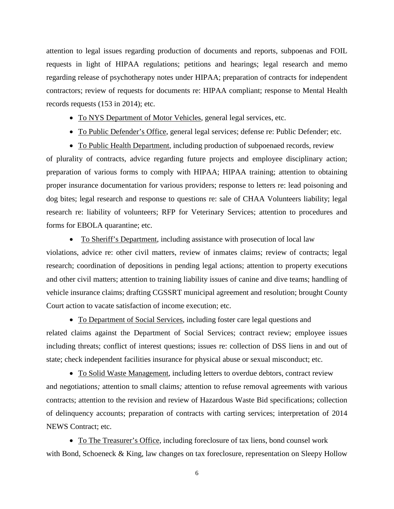attention to legal issues regarding production of documents and reports, subpoenas and FOIL requests in light of HIPAA regulations; petitions and hearings; legal research and memo regarding release of psychotherapy notes under HIPAA; preparation of contracts for independent contractors; review of requests for documents re: HIPAA compliant; response to Mental Health records requests (153 in 2014); etc.

- To NYS Department of Motor Vehicles, general legal services, etc.
- To Public Defender's Office, general legal services; defense re: Public Defender; etc.
- To Public Health Department, including production of subpoenaed records, review

of plurality of contracts, advice regarding future projects and employee disciplinary action; preparation of various forms to comply with HIPAA; HIPAA training; attention to obtaining proper insurance documentation for various providers; response to letters re: lead poisoning and dog bites; legal research and response to questions re: sale of CHAA Volunteers liability; legal research re: liability of volunteers; RFP for Veterinary Services; attention to procedures and forms for EBOLA quarantine; etc.

• To Sheriff's Department, including assistance with prosecution of local law

violations, advice re: other civil matters, review of inmates claims; review of contracts; legal research; coordination of depositions in pending legal actions; attention to property executions and other civil matters; attention to training liability issues of canine and dive teams; handling of vehicle insurance claims; drafting CGSSRT municipal agreement and resolution; brought County Court action to vacate satisfaction of income execution; etc.

• To Department of Social Services, including foster care legal questions and related claims against the Department of Social Services; contract review; employee issues including threats; conflict of interest questions; issues re: collection of DSS liens in and out of state; check independent facilities insurance for physical abuse or sexual misconduct; etc.

• To Solid Waste Management, including letters to overdue debtors, contract review and negotiations*;* attention to small claims*;* attention to refuse removal agreements with various contracts; attention to the revision and review of Hazardous Waste Bid specifications; collection of delinquency accounts; preparation of contracts with carting services; interpretation of 2014 NEWS Contract; etc.

• To The Treasurer's Office, including foreclosure of tax liens, bond counsel work with Bond, Schoeneck & King, law changes on tax foreclosure, representation on Sleepy Hollow

6